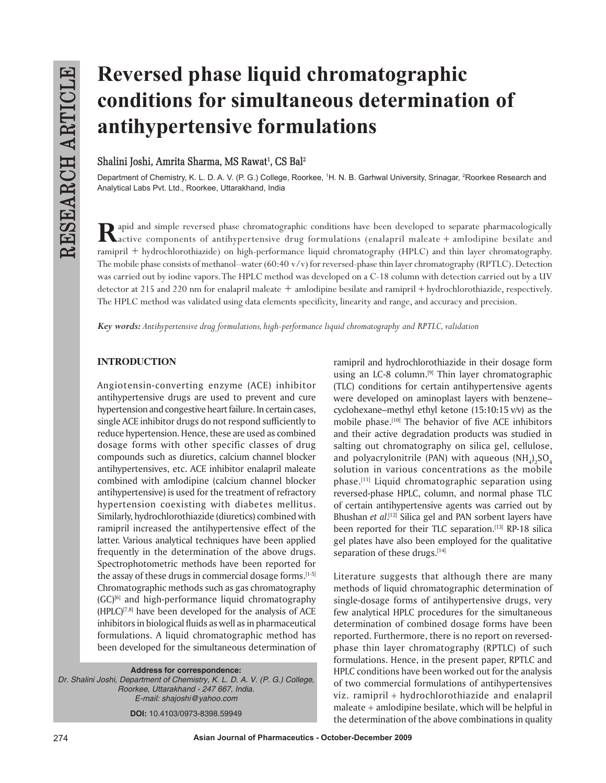# **Reversed phase liquid chromatographic conditions for simultaneous determination of antihypertensive formulations**

# $Shalini Joshi, Amrita Sharma, MS Rawat<sup>1</sup>, CS Bal<sup>2</sup>$

Department of Chemistry, K. L. D. A. V. (P. G.) College, Roorkee, 1H. N. B. Garhwal University, Srinagar, <sup>2</sup>Roorkee Research and Analytical Labs Pvt. Ltd., Roorkee, Uttarakhand, India

Rapid and simple reversed phase chromatographic conditions have been developed to separate pharmacologically active components of antihypertensive drug formulations (enalapril maleate + amlodipine besilate and ramipril + hydrochlorothiazide) on high-performance liquid chromatography (HPLC) and thin layer chromatography. The mobile phase consists of methanol–water (60:40 v/v) for reversed-phase thin layer chromatography (RPTLC). Detection was carried out by iodine vapors. The HPLC method was developed on a C-18 column with detection carried out by a UV detector at 215 and 220 nm for enalapril maleate + amlodipine besilate and ramipril + hydrochlorothiazide, respectively. The HPLC method was validated using data elements specificity, linearity and range, and accuracy and precision.

*Key words: Antihypertensive drug formulations, high-performance liquid chromatography and RPTLC, validation*

# **INTRODUCTION**

Angiotensin-converting enzyme (ACE) inhibitor antihypertensive drugs are used to prevent and cure hypertension and congestive heart failure. In certain cases, single ACE inhibitor drugs do not respond sufficiently to reduce hypertension. Hence, these are used as combined dosage forms with other specific classes of drug compounds such as diuretics, calcium channel blocker antihypertensives, etc. ACE inhibitor enalapril maleate combined with amlodipine (calcium channel blocker antihypertensive) is used for the treatment of refractory hypertension coexisting with diabetes mellitus. Similarly, hydrochlorothiazide (diuretics) combined with ramipril increased the antihypertensive effect of the latter. Various analytical techniques have been applied frequently in the determination of the above drugs. Spectrophotometric methods have been reported for the assay of these drugs in commercial dosage forms.<sup>[1-5]</sup> Chromatographic methods such as gas chromatography  $(GC)^{[6]}$  and high-performance liquid chromatography  $(HPLC)^{[7,8]}$  have been developed for the analysis of ACE inhibitors in biological fluids as well as in pharmaceutical formulations. A liquid chromatographic method has been developed for the simultaneous determination of

**Address for correspondence:** *Dr. Shalini Joshi, Department of Chemistry, K. L. D. A. V. (P. G.) College, Roorkee, Uttarakhand - 247 667, India. E-mail: shajoshi@yahoo.com* **DOI:** 10.4103/0973-8398.59949

ramipril and hydrochlorothiazide in their dosage form using an LC-8 column.<sup>[9]</sup> Thin layer chromatographic (TLC) conditions for certain antihypertensive agents were developed on aminoplast layers with benzene– cyclohexane–methyl ethyl ketone (15:10:15 v/v) as the mobile phase.<sup>[10]</sup> The behavior of five ACE inhibitors and their active degradation products was studied in salting out chromatography on silica gel, cellulose, and polyacrylonitrile (PAN) with aqueous  $(\mathrm{NH}_4)_2\mathrm{SO}_4$ solution in various concentrations as the mobile phase.[11] Liquid chromatographic separation using reversed-phase HPLC, column, and normal phase TLC of certain antihypertensive agents was carried out by Bhushan *et al*. [12] Silica gel and PAN sorbent layers have been reported for their TLC separation.<sup>[13]</sup> RP-18 silica gel plates have also been employed for the qualitative separation of these drugs.[14]

Literature suggests that although there are many methods of liquid chromatographic determination of single-dosage forms of antihypertensive drugs, very few analytical HPLC procedures for the simultaneous determination of combined dosage forms have been reported. Furthermore, there is no report on reversedphase thin layer chromatography (RPTLC) of such formulations. Hence, in the present paper, RPTLC and HPLC conditions have been worked out for the analysis of two commercial formulations of antihypertensives viz. ramipril + hydrochlorothiazide and enalapril maleate + amlodipine besilate, which will be helpful in the determination of the above combinations in quality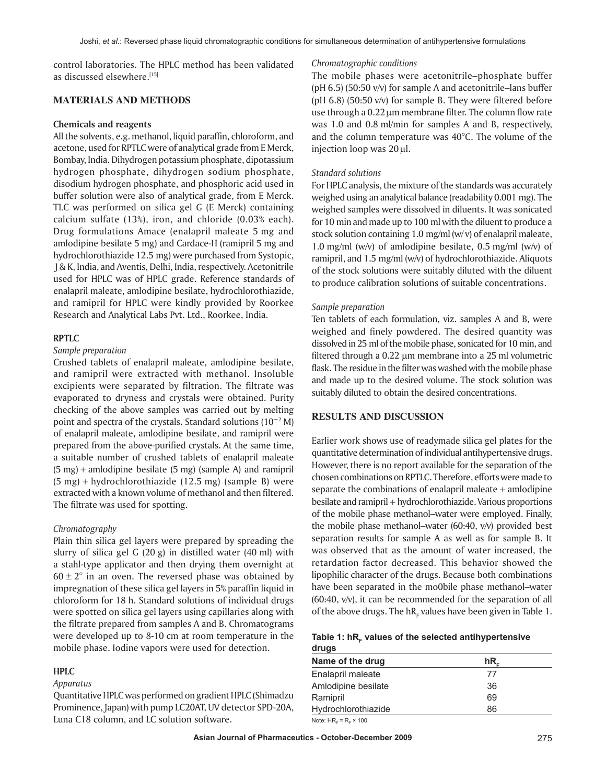control laboratories. The HPLC method has been validated as discussed elsewhere.[15]

## **MATERIALS AND METHODS**

#### **Chemicals and reagents**

All the solvents, e.g. methanol, liquid paraffin, chloroform, and acetone, used for RPTLC were of analytical grade from E Merck, Bombay, India. Dihydrogen potassium phosphate, dipotassium hydrogen phosphate, dihydrogen sodium phosphate, disodium hydrogen phosphate, and phosphoric acid used in buffer solution were also of analytical grade, from E Merck. TLC was performed on silica gel G (E Merck) containing calcium sulfate (13%), iron, and chloride (0.03% each). Drug formulations Amace (enalapril maleate 5 mg and amlodipine besilate 5 mg) and Cardace-H (ramipril 5 mg and hydrochlorothiazide 12.5 mg) were purchased from Systopic, J & K, India, and Aventis, Delhi, India, respectively. Acetonitrile used for HPLC was of HPLC grade. Reference standards of enalapril maleate, amlodipine besilate, hydrochlorothiazide, and ramipril for HPLC were kindly provided by Roorkee Research and Analytical Labs Pvt. Ltd., Roorkee, India.

#### **RPTLC**

#### *Sample preparation*

Crushed tablets of enalapril maleate, amlodipine besilate, and ramipril were extracted with methanol. Insoluble excipients were separated by filtration. The filtrate was evaporated to dryness and crystals were obtained. Purity checking of the above samples was carried out by melting point and spectra of the crystals. Standard solutions (10−2 M) of enalapril maleate, amlodipine besilate, and ramipril were prepared from the above-purified crystals. At the same time, a suitable number of crushed tablets of enalapril maleate  $(5 \text{ mg})$  + amlodipine besilate  $(5 \text{ mg})$  (sample A) and ramipril (5 mg) + hydrochlorothiazide (12.5 mg) (sample B) were extracted with a known volume of methanol and then filtered. The filtrate was used for spotting.

#### *Chromatography*

Plain thin silica gel layers were prepared by spreading the slurry of silica gel G (20 g) in distilled water (40 ml) with a stahl-type applicator and then drying them overnight at  $60 \pm 2^{\circ}$  in an oven. The reversed phase was obtained by impregnation of these silica gel layers in 5% paraffin liquid in chloroform for 18 h. Standard solutions of individual drugs were spotted on silica gel layers using capillaries along with the filtrate prepared from samples A and B. Chromatograms were developed up to 8-10 cm at room temperature in the mobile phase. Iodine vapors were used for detection.

# **HPLC**

#### *Apparatus*

Quantitative HPLC was performed on gradient HPLC (Shimadzu Prominence, Japan) with pump LC20AT, UV detector SPD-20A, Luna C18 column, and LC solution software.

#### *Chromatographic conditions*

The mobile phases were acetonitrile–phosphate buffer (pH 6.5) (50:50 v/v) for sample A and acetonitrile–lans buffer (pH 6.8) (50:50 v/v) for sample B. They were filtered before use through a  $0.22 \mu m$  membrane filter. The column flow rate was 1.0 and 0.8 ml/min for samples A and B, respectively, and the column temperature was 40°C. The volume of the injection loop was 20 µl.

#### *Standard solutions*

For HPLC analysis, the mixture of the standards was accurately weighed using an analytical balance (readability 0.001 mg). The weighed samples were dissolved in diluents. It was sonicated for 10 min and made up to 100 ml with the diluent to produce a stock solution containing 1.0 mg/ml (w/ v) of enalapril maleate, 1.0 mg/ml (w/v) of amlodipine besilate, 0.5 mg/ml (w/v) of ramipril, and 1.5 mg/ml (w/v) of hydrochlorothiazide. Aliquots of the stock solutions were suitably diluted with the diluent to produce calibration solutions of suitable concentrations.

#### *Sample preparation*

Ten tablets of each formulation, viz. samples A and B, were weighed and finely powdered. The desired quantity was dissolved in 25 ml of the mobile phase, sonicated for 10 min, and filtered through a  $0.22 \mu m$  membrane into a  $25 \mu m$  volumetric flask. The residue in the filter was washed with the mobile phase and made up to the desired volume. The stock solution was suitably diluted to obtain the desired concentrations.

## **RESULTS AND DISCUSSION**

Earlier work shows use of readymade silica gel plates for the quantitative determination of individual antihypertensive drugs. However, there is no report available for the separation of the chosen combinations on RPTLC. Therefore, efforts were made to separate the combinations of enalapril maleate  $+$  amlodipine besilate and ramipril + hydrochlorothiazide. Various proportions of the mobile phase methanol–water were employed. Finally, the mobile phase methanol–water (60:40, v/v) provided best separation results for sample A as well as for sample B. It was observed that as the amount of water increased, the retardation factor decreased. This behavior showed the lipophilic character of the drugs. Because both combinations have been separated in the mo0bile phase methanol–water (60:40, v/v), it can be recommended for the separation of all of the above drugs. The  $\mathtt{hR}_{\mathtt{F}}$  values have been given in Table 1.

#### Table 1: hR<sub>E</sub> values of the selected antihypertensive **drugs**

| Name of the drug    | hR. |
|---------------------|-----|
| Enalapril maleate   | 77  |
| Amlodipine besilate | 36  |
| Ramipril            | 69  |
| Hydrochlorothiazide | 86  |
|                     |     |

Note:  $HR<sub>F</sub> = R<sub>F</sub> \times 100$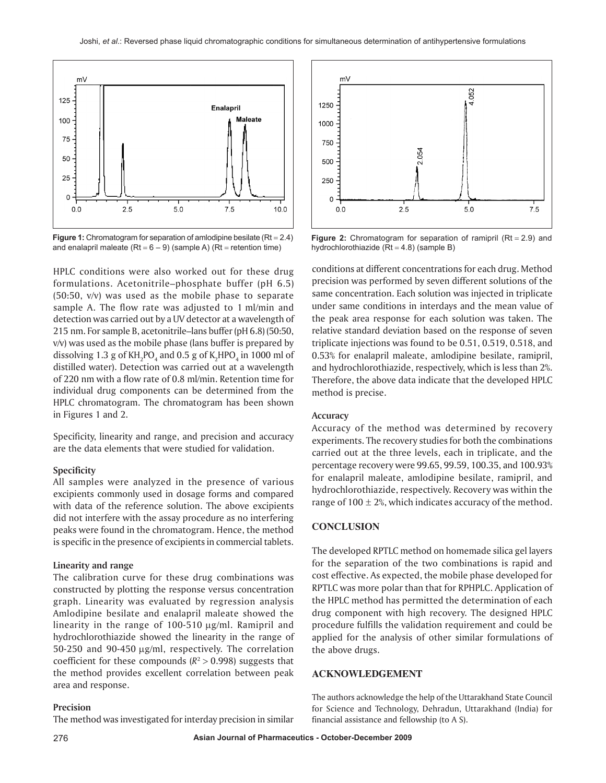

**Figure 1:** Chromatogram for separation of amlodipine besilate (Rt = 2.4) and enalapril maleate  $(Rt = 6 - 9)$  (sample A)  $(Rt =$  retention time)

HPLC conditions were also worked out for these drug formulations. Acetonitrile–phosphate buffer (pH 6.5) (50:50, v/v) was used as the mobile phase to separate sample A. The flow rate was adjusted to 1 ml/min and detection was carried out by a UV detector at a wavelength of 215 nm. For sample B, acetonitrile–lans buffer (pH 6.8) (50:50, v/v) was used as the mobile phase (lans buffer is prepared by dissolving 1.3 g of  $\rm KH_2PO_4$  and 0.5 g of  $\rm K_2HPO_4$  in 1000 ml of distilled water). Detection was carried out at a wavelength of 220 nm with a flow rate of 0.8 ml/min. Retention time for individual drug components can be determined from the HPLC chromatogram. The chromatogram has been shown in Figures 1 and 2.

Specificity, linearity and range, and precision and accuracy are the data elements that were studied for validation.

#### **Specificity**

All samples were analyzed in the presence of various excipients commonly used in dosage forms and compared with data of the reference solution. The above excipients did not interfere with the assay procedure as no interfering peaks were found in the chromatogram. Hence, the method is specific in the presence of excipients in commercial tablets.

#### **Linearity and range**

The calibration curve for these drug combinations was constructed by plotting the response versus concentration graph. Linearity was evaluated by regression analysis Amlodipine besilate and enalapril maleate showed the linearity in the range of  $100-510$   $\mu$ g/ml. Ramipril and hydrochlorothiazide showed the linearity in the range of  $50-250$  and  $90-450 \mu g/ml$ , respectively. The correlation coefficient for these compounds  $(R^2 > 0.998)$  suggests that the method provides excellent correlation between peak area and response.

#### **Precision**

The method was investigated for interday precision in similar



**Figure 2:** Chromatogram for separation of ramipril  $(Rt = 2.9)$  and hydrochlorothiazide ( $Rt = 4.8$ ) (sample B)

conditions at different concentrations for each drug. Method precision was performed by seven different solutions of the same concentration. Each solution was injected in triplicate under same conditions in interdays and the mean value of the peak area response for each solution was taken. The relative standard deviation based on the response of seven triplicate injections was found to be 0.51, 0.519, 0.518, and 0.53% for enalapril maleate, amlodipine besilate, ramipril, and hydrochlorothiazide, respectively, which is less than 2%. Therefore, the above data indicate that the developed HPLC method is precise.

#### **Accuracy**

Accuracy of the method was determined by recovery experiments. The recovery studies for both the combinations carried out at the three levels, each in triplicate, and the percentage recovery were 99.65, 99.59, 100.35, and 100.93% for enalapril maleate, amlodipine besilate, ramipril, and hydrochlorothiazide, respectively. Recovery was within the range of  $100 \pm 2\%$ , which indicates accuracy of the method.

#### **CONCLUSION**

The developed RPTLC method on homemade silica gel layers for the separation of the two combinations is rapid and cost effective. As expected, the mobile phase developed for RPTLC was more polar than that for RPHPLC. Application of the HPLC method has permitted the determination of each drug component with high recovery. The designed HPLC procedure fulfills the validation requirement and could be applied for the analysis of other similar formulations of the above drugs.

# **ACKNOWLEDGEMENT**

The authors acknowledge the help of the Uttarakhand State Council for Science and Technology, Dehradun, Uttarakhand (India) for financial assistance and fellowship (to A S).